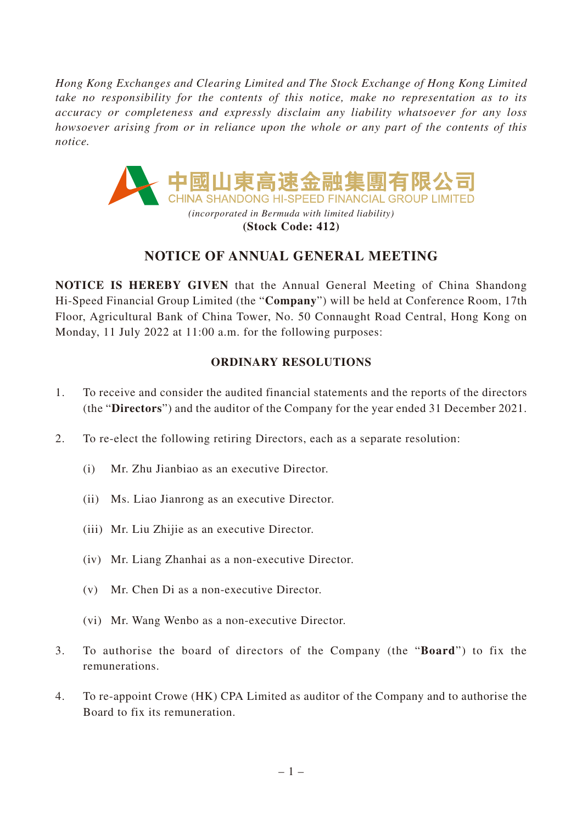*Hong Kong Exchanges and Clearing Limited and The Stock Exchange of Hong Kong Limited take no responsibility for the contents of this notice, make no representation as to its accuracy or completeness and expressly disclaim any liability whatsoever for any loss howsoever arising from or in reliance upon the whole or any part of the contents of this notice.*



**(Stock Code: 412)**

# **NOTICE OF ANNUAL GENERAL MEETING**

**NOTICE IS HEREBY GIVEN** that the Annual General Meeting of China Shandong Hi-Speed Financial Group Limited (the "**Company**") will be held at Conference Room, 17th Floor, Agricultural Bank of China Tower, No. 50 Connaught Road Central, Hong Kong on Monday, 11 July 2022 at 11:00 a.m. for the following purposes:

# **ORDINARY RESOLUTIONS**

- 1. To receive and consider the audited financial statements and the reports of the directors (the "**Directors**") and the auditor of the Company for the year ended 31 December 2021.
- 2. To re-elect the following retiring Directors, each as a separate resolution:
	- (i) Mr. Zhu Jianbiao as an executive Director.
	- (ii) Ms. Liao Jianrong as an executive Director.
	- (iii) Mr. Liu Zhijie as an executive Director.
	- (iv) Mr. Liang Zhanhai as a non-executive Director.
	- (v) Mr. Chen Di as a non-executive Director.
	- (vi) Mr. Wang Wenbo as a non-executive Director.
- 3. To authorise the board of directors of the Company (the "**Board**") to fix the remunerations.
- 4. To re-appoint Crowe (HK) CPA Limited as auditor of the Company and to authorise the Board to fix its remuneration.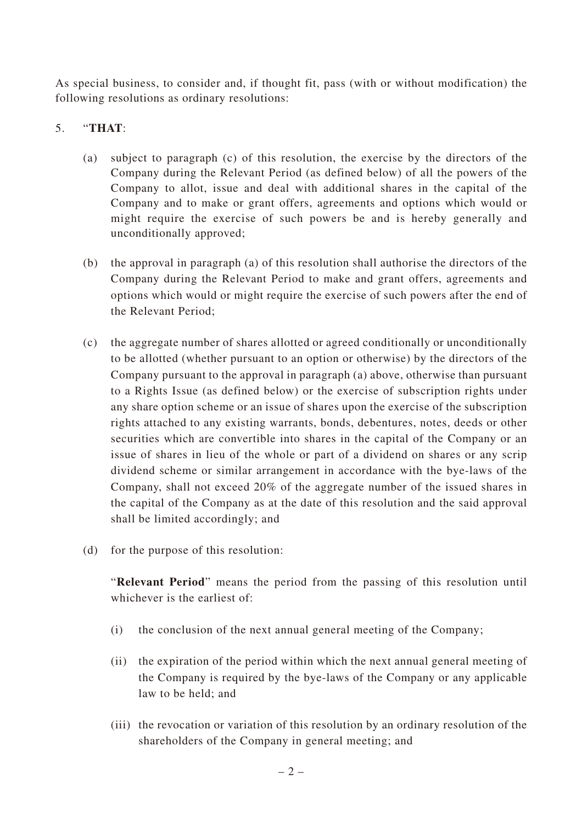As special business, to consider and, if thought fit, pass (with or without modification) the following resolutions as ordinary resolutions:

## 5. "**THAT**:

- (a) subject to paragraph (c) of this resolution, the exercise by the directors of the Company during the Relevant Period (as defined below) of all the powers of the Company to allot, issue and deal with additional shares in the capital of the Company and to make or grant offers, agreements and options which would or might require the exercise of such powers be and is hereby generally and unconditionally approved;
- (b) the approval in paragraph (a) of this resolution shall authorise the directors of the Company during the Relevant Period to make and grant offers, agreements and options which would or might require the exercise of such powers after the end of the Relevant Period;
- (c) the aggregate number of shares allotted or agreed conditionally or unconditionally to be allotted (whether pursuant to an option or otherwise) by the directors of the Company pursuant to the approval in paragraph (a) above, otherwise than pursuant to a Rights Issue (as defined below) or the exercise of subscription rights under any share option scheme or an issue of shares upon the exercise of the subscription rights attached to any existing warrants, bonds, debentures, notes, deeds or other securities which are convertible into shares in the capital of the Company or an issue of shares in lieu of the whole or part of a dividend on shares or any scrip dividend scheme or similar arrangement in accordance with the bye-laws of the Company, shall not exceed 20% of the aggregate number of the issued shares in the capital of the Company as at the date of this resolution and the said approval shall be limited accordingly; and
- (d) for the purpose of this resolution:

"**Relevant Period**" means the period from the passing of this resolution until whichever is the earliest of:

- (i) the conclusion of the next annual general meeting of the Company;
- (ii) the expiration of the period within which the next annual general meeting of the Company is required by the bye-laws of the Company or any applicable law to be held; and
- (iii) the revocation or variation of this resolution by an ordinary resolution of the shareholders of the Company in general meeting; and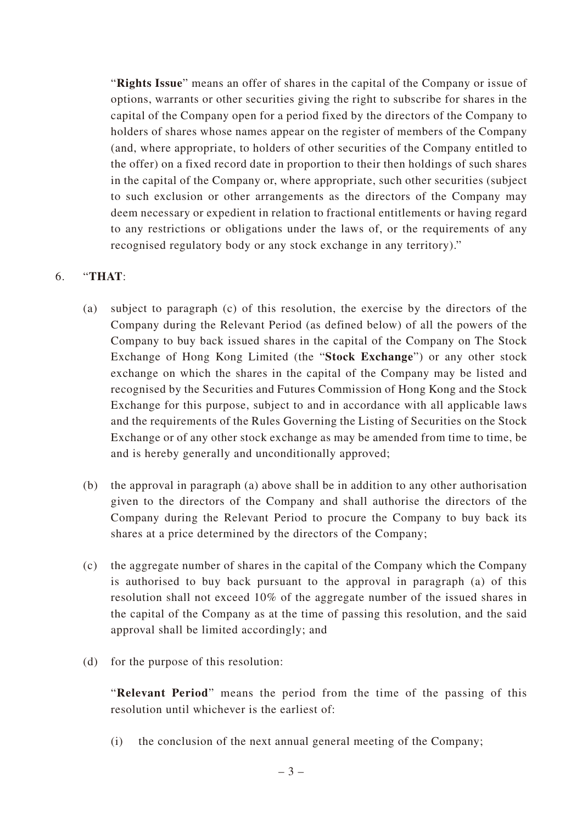"**Rights Issue**" means an offer of shares in the capital of the Company or issue of options, warrants or other securities giving the right to subscribe for shares in the capital of the Company open for a period fixed by the directors of the Company to holders of shares whose names appear on the register of members of the Company (and, where appropriate, to holders of other securities of the Company entitled to the offer) on a fixed record date in proportion to their then holdings of such shares in the capital of the Company or, where appropriate, such other securities (subject to such exclusion or other arrangements as the directors of the Company may deem necessary or expedient in relation to fractional entitlements or having regard to any restrictions or obligations under the laws of, or the requirements of any recognised regulatory body or any stock exchange in any territory)."

### 6. "**THAT**:

- (a) subject to paragraph (c) of this resolution, the exercise by the directors of the Company during the Relevant Period (as defined below) of all the powers of the Company to buy back issued shares in the capital of the Company on The Stock Exchange of Hong Kong Limited (the "**Stock Exchange**") or any other stock exchange on which the shares in the capital of the Company may be listed and recognised by the Securities and Futures Commission of Hong Kong and the Stock Exchange for this purpose, subject to and in accordance with all applicable laws and the requirements of the Rules Governing the Listing of Securities on the Stock Exchange or of any other stock exchange as may be amended from time to time, be and is hereby generally and unconditionally approved;
- (b) the approval in paragraph (a) above shall be in addition to any other authorisation given to the directors of the Company and shall authorise the directors of the Company during the Relevant Period to procure the Company to buy back its shares at a price determined by the directors of the Company;
- (c) the aggregate number of shares in the capital of the Company which the Company is authorised to buy back pursuant to the approval in paragraph (a) of this resolution shall not exceed 10% of the aggregate number of the issued shares in the capital of the Company as at the time of passing this resolution, and the said approval shall be limited accordingly; and
- (d) for the purpose of this resolution:

"**Relevant Period**" means the period from the time of the passing of this resolution until whichever is the earliest of:

(i) the conclusion of the next annual general meeting of the Company;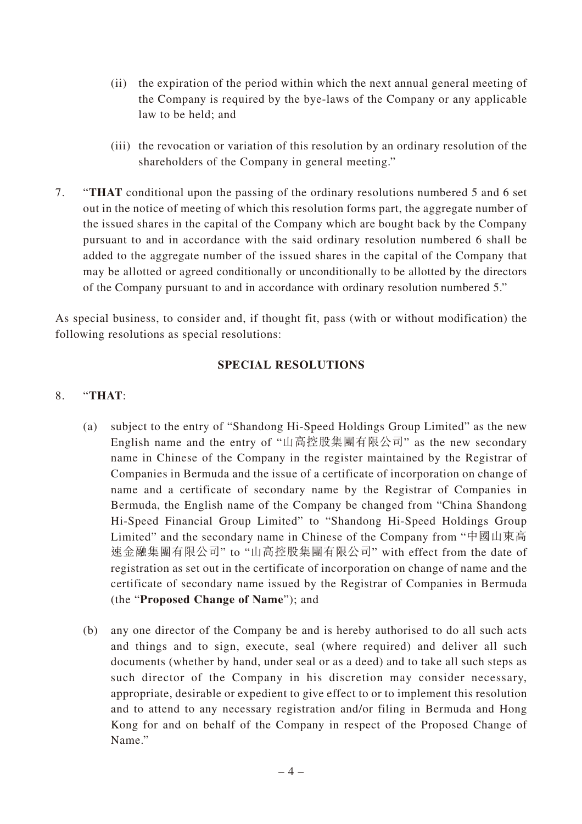- (ii) the expiration of the period within which the next annual general meeting of the Company is required by the bye-laws of the Company or any applicable law to be held; and
- (iii) the revocation or variation of this resolution by an ordinary resolution of the shareholders of the Company in general meeting."
- 7. "**THAT** conditional upon the passing of the ordinary resolutions numbered 5 and 6 set out in the notice of meeting of which this resolution forms part, the aggregate number of the issued shares in the capital of the Company which are bought back by the Company pursuant to and in accordance with the said ordinary resolution numbered 6 shall be added to the aggregate number of the issued shares in the capital of the Company that may be allotted or agreed conditionally or unconditionally to be allotted by the directors of the Company pursuant to and in accordance with ordinary resolution numbered 5."

As special business, to consider and, if thought fit, pass (with or without modification) the following resolutions as special resolutions:

#### **SPECIAL RESOLUTIONS**

#### 8. "**THAT**:

- (a) subject to the entry of "Shandong Hi-Speed Holdings Group Limited" as the new English name and the entry of "山高控股集團有限公司" as the new secondary name in Chinese of the Company in the register maintained by the Registrar of Companies in Bermuda and the issue of a certificate of incorporation on change of name and a certificate of secondary name by the Registrar of Companies in Bermuda, the English name of the Company be changed from "China Shandong Hi-Speed Financial Group Limited" to "Shandong Hi-Speed Holdings Group Limited" and the secondary name in Chinese of the Company from "中國山東高 速金融集團有限公司" to "山高控股集團有限公司" with effect from the date of registration as set out in the certificate of incorporation on change of name and the certificate of secondary name issued by the Registrar of Companies in Bermuda (the "**Proposed Change of Name**"); and
- (b) any one director of the Company be and is hereby authorised to do all such acts and things and to sign, execute, seal (where required) and deliver all such documents (whether by hand, under seal or as a deed) and to take all such steps as such director of the Company in his discretion may consider necessary, appropriate, desirable or expedient to give effect to or to implement this resolution and to attend to any necessary registration and/or filing in Bermuda and Hong Kong for and on behalf of the Company in respect of the Proposed Change of Name."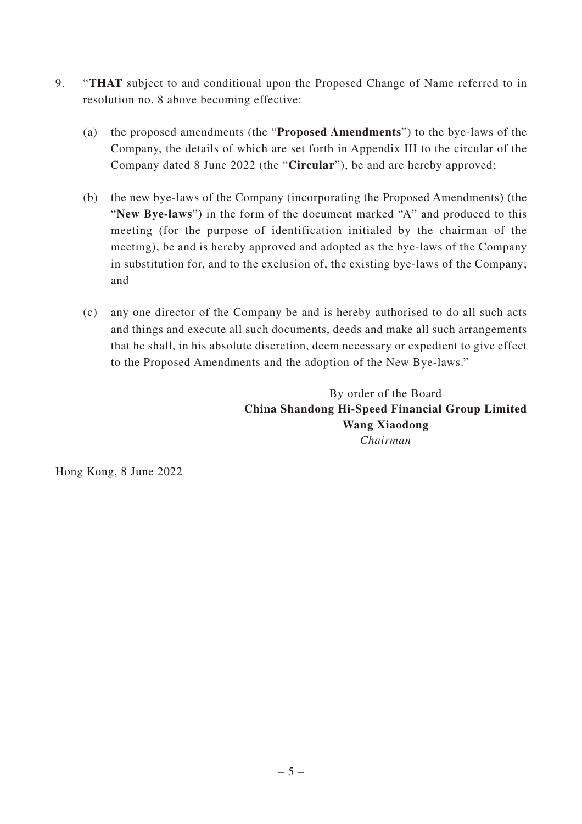- 9. "**THAT** subject to and conditional upon the Proposed Change of Name referred to in resolution no. 8 above becoming effective:
	- (a) the proposed amendments (the "**Proposed Amendments**") to the bye-laws of the Company, the details of which are set forth in Appendix III to the circular of the Company dated 8 June 2022 (the "**Circular**"), be and are hereby approved;
	- (b) the new bye-laws of the Company (incorporating the Proposed Amendments) (the "**New Bye-laws**") in the form of the document marked "A" and produced to this meeting (for the purpose of identification initialed by the chairman of the meeting), be and is hereby approved and adopted as the bye-laws of the Company in substitution for, and to the exclusion of, the existing bye-laws of the Company; and
	- (c) any one director of the Company be and is hereby authorised to do all such acts and things and execute all such documents, deeds and make all such arrangements that he shall, in his absolute discretion, deem necessary or expedient to give effect to the Proposed Amendments and the adoption of the New Bye-laws."

By order of the Board **China Shandong Hi-Speed Financial Group Limited Wang Xiaodong** *Chairman*

Hong Kong, 8 June 2022